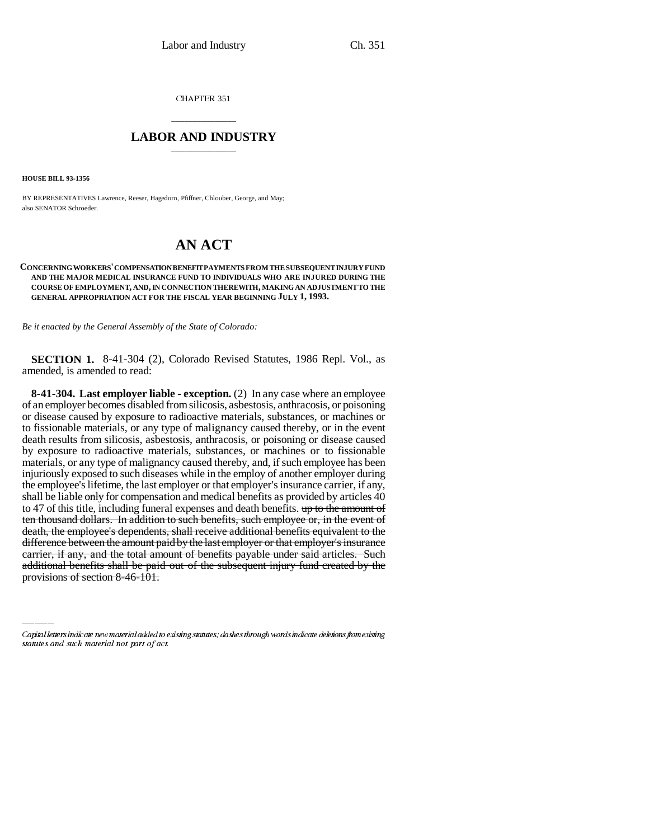CHAPTER 351

## \_\_\_\_\_\_\_\_\_\_\_\_\_\_\_ **LABOR AND INDUSTRY** \_\_\_\_\_\_\_\_\_\_\_\_\_\_\_

**HOUSE BILL 93-1356**

BY REPRESENTATIVES Lawrence, Reeser, Hagedorn, Pfiffner, Chlouber, George, and May; also SENATOR Schroeder.

# **AN ACT**

#### **CONCERNING WORKERS' COMPENSATION BENEFIT PAYMENTS FROM THE SUBSEQUENT INJURY FUND AND THE MAJOR MEDICAL INSURANCE FUND TO INDIVIDUALS WHO ARE INJURED DURING THE COURSE OF EMPLOYMENT, AND, IN CONNECTION THEREWITH, MAKING AN ADJUSTMENT TO THE GENERAL APPROPRIATION ACT FOR THE FISCAL YEAR BEGINNING JULY 1, 1993.**

*Be it enacted by the General Assembly of the State of Colorado:*

**SECTION 1.** 8-41-304 (2), Colorado Revised Statutes, 1986 Repl. Vol., as amended, is amended to read:

difference between the amount paid by the last employer or that employer's insurance **8-41-304. Last employer liable - exception.** (2) In any case where an employee of an employer becomes disabled from silicosis, asbestosis, anthracosis, or poisoning or disease caused by exposure to radioactive materials, substances, or machines or to fissionable materials, or any type of malignancy caused thereby, or in the event death results from silicosis, asbestosis, anthracosis, or poisoning or disease caused by exposure to radioactive materials, substances, or machines or to fissionable materials, or any type of malignancy caused thereby, and, if such employee has been injuriously exposed to such diseases while in the employ of another employer during the employee's lifetime, the last employer or that employer's insurance carrier, if any, shall be liable only for compensation and medical benefits as provided by articles 40 to 47 of this title, including funeral expenses and death benefits. up to the amount of ten thousand dollars. In addition to such benefits, such employee or, in the event of death, the employee's dependents, shall receive additional benefits equivalent to the carrier, if any, and the total amount of benefits payable under said articles. Such additional benefits shall be paid out of the subsequent injury fund created by the provisions of section 8-46-101.

Capital letters indicate new material added to existing statutes; dashes through words indicate deletions from existing statutes and such material not part of act.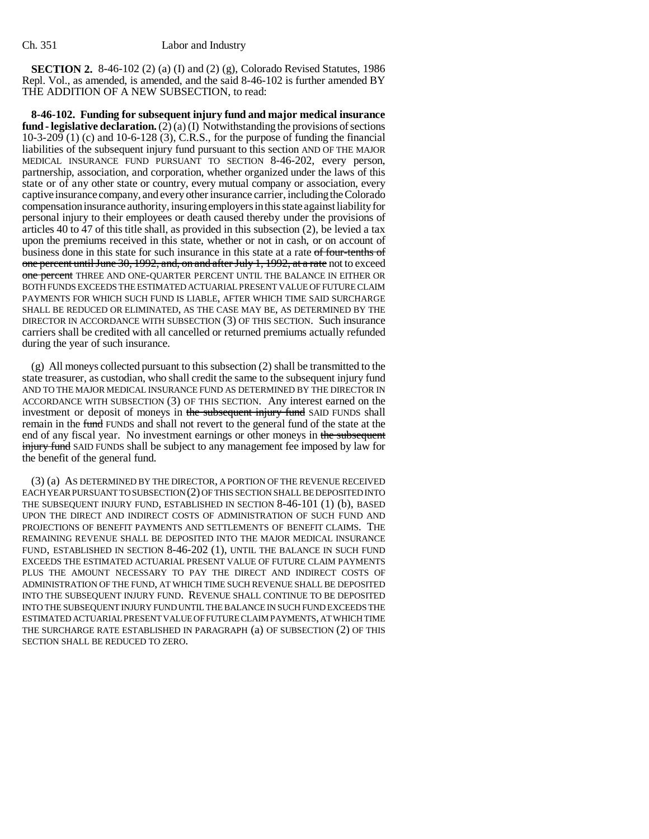**SECTION 2.** 8-46-102 (2) (a) (I) and (2) (g), Colorado Revised Statutes, 1986 Repl. Vol., as amended, is amended, and the said 8-46-102 is further amended BY THE ADDITION OF A NEW SUBSECTION, to read:

**8-46-102. Funding for subsequent injury fund and major medical insurance fund - legislative declaration.** (2) (a) (I) Notwithstanding the provisions of sections 10-3-209 (1) (c) and 10-6-128 (3), C.R.S., for the purpose of funding the financial liabilities of the subsequent injury fund pursuant to this section AND OF THE MAJOR MEDICAL INSURANCE FUND PURSUANT TO SECTION 8-46-202, every person, partnership, association, and corporation, whether organized under the laws of this state or of any other state or country, every mutual company or association, every captive insurance company, and every other insurance carrier, including the Colorado compensation insurance authority, insuring employers in this state against liability for personal injury to their employees or death caused thereby under the provisions of articles 40 to 47 of this title shall, as provided in this subsection (2), be levied a tax upon the premiums received in this state, whether or not in cash, or on account of business done in this state for such insurance in this state at a rate of four-tenths of one percent until June 30, 1992, and, on and after July 1, 1992, at a rate not to exceed one percent THREE AND ONE-QUARTER PERCENT UNTIL THE BALANCE IN EITHER OR BOTH FUNDS EXCEEDS THE ESTIMATED ACTUARIAL PRESENT VALUE OF FUTURE CLAIM PAYMENTS FOR WHICH SUCH FUND IS LIABLE, AFTER WHICH TIME SAID SURCHARGE SHALL BE REDUCED OR ELIMINATED, AS THE CASE MAY BE, AS DETERMINED BY THE DIRECTOR IN ACCORDANCE WITH SUBSECTION (3) OF THIS SECTION. Such insurance carriers shall be credited with all cancelled or returned premiums actually refunded during the year of such insurance.

(g) All moneys collected pursuant to this subsection (2) shall be transmitted to the state treasurer, as custodian, who shall credit the same to the subsequent injury fund AND TO THE MAJOR MEDICAL INSURANCE FUND AS DETERMINED BY THE DIRECTOR IN ACCORDANCE WITH SUBSECTION (3) OF THIS SECTION. Any interest earned on the investment or deposit of moneys in the subsequent injury fund SAID FUNDS shall remain in the fund FUNDS and shall not revert to the general fund of the state at the end of any fiscal year. No investment earnings or other moneys in the subsequent **injury fund** SAID FUNDS shall be subject to any management fee imposed by law for the benefit of the general fund.

(3) (a) AS DETERMINED BY THE DIRECTOR, A PORTION OF THE REVENUE RECEIVED EACH YEAR PURSUANT TO SUBSECTION (2) OF THIS SECTION SHALL BE DEPOSITED INTO THE SUBSEQUENT INJURY FUND, ESTABLISHED IN SECTION 8-46-101 (1) (b), BASED UPON THE DIRECT AND INDIRECT COSTS OF ADMINISTRATION OF SUCH FUND AND PROJECTIONS OF BENEFIT PAYMENTS AND SETTLEMENTS OF BENEFIT CLAIMS. THE REMAINING REVENUE SHALL BE DEPOSITED INTO THE MAJOR MEDICAL INSURANCE FUND, ESTABLISHED IN SECTION 8-46-202 (1), UNTIL THE BALANCE IN SUCH FUND EXCEEDS THE ESTIMATED ACTUARIAL PRESENT VALUE OF FUTURE CLAIM PAYMENTS PLUS THE AMOUNT NECESSARY TO PAY THE DIRECT AND INDIRECT COSTS OF ADMINISTRATION OF THE FUND, AT WHICH TIME SUCH REVENUE SHALL BE DEPOSITED INTO THE SUBSEQUENT INJURY FUND. REVENUE SHALL CONTINUE TO BE DEPOSITED INTO THE SUBSEQUENT INJURY FUND UNTIL THE BALANCE IN SUCH FUND EXCEEDS THE ESTIMATED ACTUARIAL PRESENT VALUE OF FUTURE CLAIM PAYMENTS, AT WHICH TIME THE SURCHARGE RATE ESTABLISHED IN PARAGRAPH (a) OF SUBSECTION (2) OF THIS SECTION SHALL BE REDUCED TO ZERO.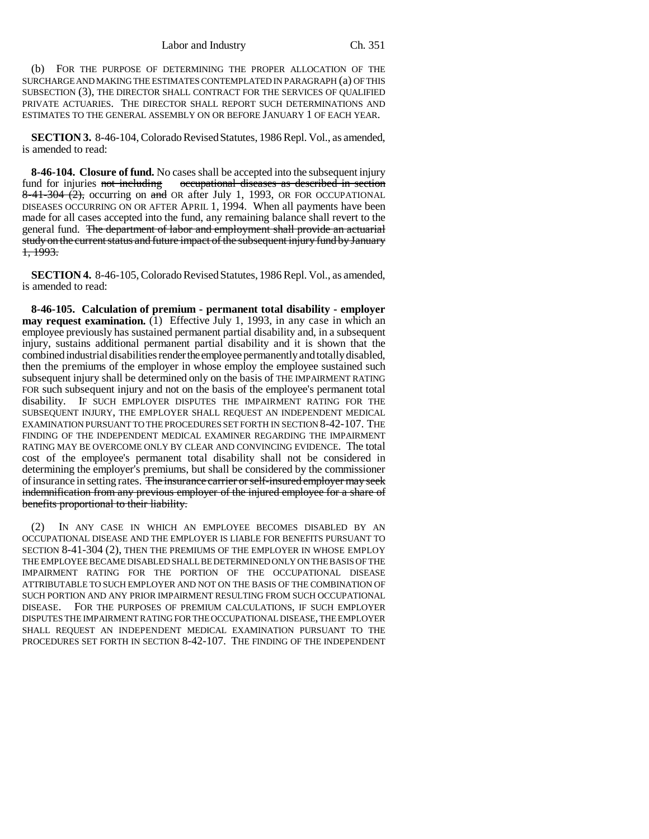(b) FOR THE PURPOSE OF DETERMINING THE PROPER ALLOCATION OF THE SURCHARGE AND MAKING THE ESTIMATES CONTEMPLATED IN PARAGRAPH (a) OF THIS SUBSECTION (3), THE DIRECTOR SHALL CONTRACT FOR THE SERVICES OF QUALIFIED PRIVATE ACTUARIES. THE DIRECTOR SHALL REPORT SUCH DETERMINATIONS AND ESTIMATES TO THE GENERAL ASSEMBLY ON OR BEFORE JANUARY 1 OF EACH YEAR.

**SECTION 3.** 8-46-104, Colorado Revised Statutes, 1986 Repl. Vol., as amended, is amended to read:

**8-46-104. Closure of fund.** No cases shall be accepted into the subsequent injury fund for injuries not including occupational diseases as described in section  $8-41-304$  (2), occurring on and OR after July 1, 1993, OR FOR OCCUPATIONAL DISEASES OCCURRING ON OR AFTER APRIL 1, 1994. When all payments have been made for all cases accepted into the fund, any remaining balance shall revert to the general fund. The department of labor and employment shall provide an actuarial study on the current status and future impact of the subsequent injury fund by January 1, 1993.

**SECTION 4.** 8-46-105, Colorado Revised Statutes, 1986 Repl. Vol., as amended, is amended to read:

**8-46-105. Calculation of premium - permanent total disability - employer may request examination.** (1) Effective July 1, 1993, in any case in which an employee previously has sustained permanent partial disability and, in a subsequent injury, sustains additional permanent partial disability and it is shown that the combined industrial disabilities render the employee permanently and totally disabled, then the premiums of the employer in whose employ the employee sustained such subsequent injury shall be determined only on the basis of THE IMPAIRMENT RATING FOR such subsequent injury and not on the basis of the employee's permanent total disability. IF SUCH EMPLOYER DISPUTES THE IMPAIRMENT RATING FOR THE SUBSEQUENT INJURY, THE EMPLOYER SHALL REQUEST AN INDEPENDENT MEDICAL EXAMINATION PURSUANT TO THE PROCEDURES SET FORTH IN SECTION 8-42-107. THE FINDING OF THE INDEPENDENT MEDICAL EXAMINER REGARDING THE IMPAIRMENT RATING MAY BE OVERCOME ONLY BY CLEAR AND CONVINCING EVIDENCE. The total cost of the employee's permanent total disability shall not be considered in determining the employer's premiums, but shall be considered by the commissioner of insurance in setting rates. The insurance carrier or self-insured employer may seek indemnification from any previous employer of the injured employee for a share of benefits proportional to their liability.

(2) IN ANY CASE IN WHICH AN EMPLOYEE BECOMES DISABLED BY AN OCCUPATIONAL DISEASE AND THE EMPLOYER IS LIABLE FOR BENEFITS PURSUANT TO SECTION 8-41-304 (2), THEN THE PREMIUMS OF THE EMPLOYER IN WHOSE EMPLOY THE EMPLOYEE BECAME DISABLED SHALL BE DETERMINED ONLY ON THE BASIS OF THE IMPAIRMENT RATING FOR THE PORTION OF THE OCCUPATIONAL DISEASE ATTRIBUTABLE TO SUCH EMPLOYER AND NOT ON THE BASIS OF THE COMBINATION OF SUCH PORTION AND ANY PRIOR IMPAIRMENT RESULTING FROM SUCH OCCUPATIONAL DISEASE. FOR THE PURPOSES OF PREMIUM CALCULATIONS, IF SUCH EMPLOYER DISPUTES THE IMPAIRMENT RATING FOR THE OCCUPATIONAL DISEASE, THE EMPLOYER SHALL REQUEST AN INDEPENDENT MEDICAL EXAMINATION PURSUANT TO THE PROCEDURES SET FORTH IN SECTION 8-42-107. THE FINDING OF THE INDEPENDENT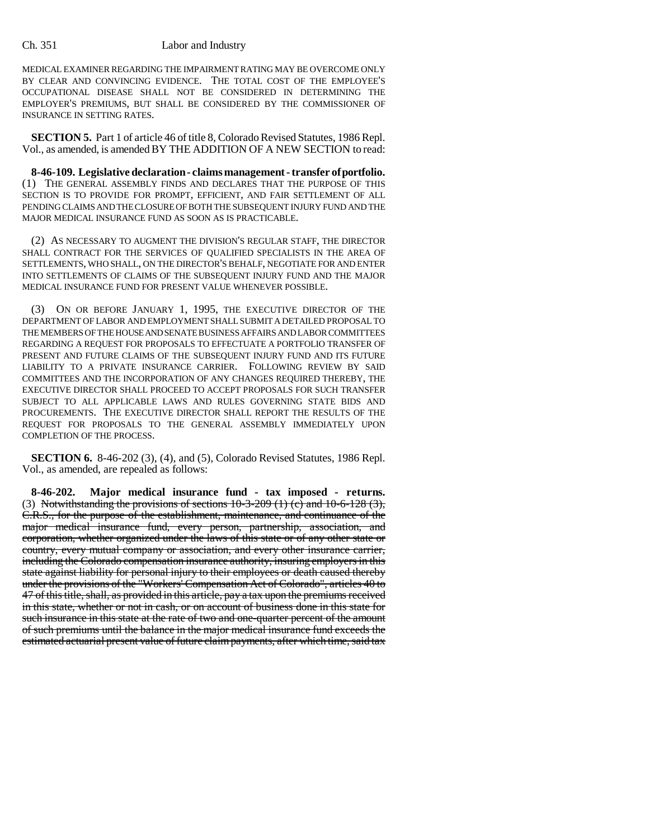### Ch. 351 Labor and Industry

MEDICAL EXAMINER REGARDING THE IMPAIRMENT RATING MAY BE OVERCOME ONLY BY CLEAR AND CONVINCING EVIDENCE. THE TOTAL COST OF THE EMPLOYEE'S OCCUPATIONAL DISEASE SHALL NOT BE CONSIDERED IN DETERMINING THE EMPLOYER'S PREMIUMS, BUT SHALL BE CONSIDERED BY THE COMMISSIONER OF INSURANCE IN SETTING RATES.

**SECTION 5.** Part 1 of article 46 of title 8, Colorado Revised Statutes, 1986 Repl. Vol., as amended, is amended BY THE ADDITION OF A NEW SECTION to read:

**8-46-109. Legislative declaration - claims management - transfer of portfolio.** (1) THE GENERAL ASSEMBLY FINDS AND DECLARES THAT THE PURPOSE OF THIS SECTION IS TO PROVIDE FOR PROMPT, EFFICIENT, AND FAIR SETTLEMENT OF ALL PENDING CLAIMS AND THE CLOSURE OF BOTH THE SUBSEQUENT INJURY FUND AND THE MAJOR MEDICAL INSURANCE FUND AS SOON AS IS PRACTICABLE.

(2) AS NECESSARY TO AUGMENT THE DIVISION'S REGULAR STAFF, THE DIRECTOR SHALL CONTRACT FOR THE SERVICES OF QUALIFIED SPECIALISTS IN THE AREA OF SETTLEMENTS, WHO SHALL, ON THE DIRECTOR'S BEHALF, NEGOTIATE FOR AND ENTER INTO SETTLEMENTS OF CLAIMS OF THE SUBSEQUENT INJURY FUND AND THE MAJOR MEDICAL INSURANCE FUND FOR PRESENT VALUE WHENEVER POSSIBLE.

ON OR BEFORE JANUARY 1, 1995, THE EXECUTIVE DIRECTOR OF THE DEPARTMENT OF LABOR AND EMPLOYMENT SHALL SUBMIT A DETAILED PROPOSAL TO THE MEMBERS OF THE HOUSE AND SENATE BUSINESS AFFAIRS AND LABOR COMMITTEES REGARDING A REQUEST FOR PROPOSALS TO EFFECTUATE A PORTFOLIO TRANSFER OF PRESENT AND FUTURE CLAIMS OF THE SUBSEQUENT INJURY FUND AND ITS FUTURE LIABILITY TO A PRIVATE INSURANCE CARRIER. FOLLOWING REVIEW BY SAID COMMITTEES AND THE INCORPORATION OF ANY CHANGES REQUIRED THEREBY, THE EXECUTIVE DIRECTOR SHALL PROCEED TO ACCEPT PROPOSALS FOR SUCH TRANSFER SUBJECT TO ALL APPLICABLE LAWS AND RULES GOVERNING STATE BIDS AND PROCUREMENTS. THE EXECUTIVE DIRECTOR SHALL REPORT THE RESULTS OF THE REQUEST FOR PROPOSALS TO THE GENERAL ASSEMBLY IMMEDIATELY UPON COMPLETION OF THE PROCESS.

**SECTION 6.** 8-46-202 (3), (4), and (5), Colorado Revised Statutes, 1986 Repl. Vol., as amended, are repealed as follows:

**8-46-202. Major medical insurance fund - tax imposed - returns.** (3) Notwithstanding the provisions of sections  $10-3-209$  (1) (c) and  $10-6-128$  (3), C.R.S., for the purpose of the establishment, maintenance, and continuance of the major medical insurance fund, every person, partnership, association, and corporation, whether organized under the laws of this state or of any other state or country, every mutual company or association, and every other insurance carrier, including the Colorado compensation insurance authority, insuring employers in this state against liability for personal injury to their employees or death caused thereby under the provisions of the "Workers' Compensation Act of Colorado", articles 40 to 47 of this title, shall, as provided in this article, pay a tax upon the premiums received in this state, whether or not in cash, or on account of business done in this state for such insurance in this state at the rate of two and one-quarter percent of the amount of such premiums until the balance in the major medical insurance fund exceeds the estimated actuarial present value of future claim payments, after which time, said tax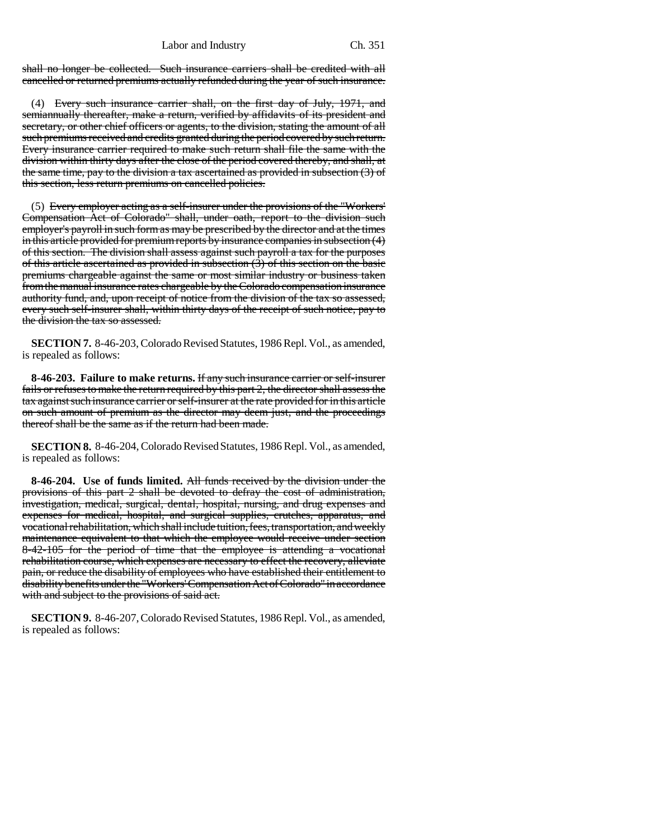shall no longer be collected. Such insurance carriers shall be credited with all cancelled or returned premiums actually refunded during the year of such insurance.

(4) Every such insurance carrier shall, on the first day of July, 1971, and semiannually thereafter, make a return, verified by affidavits of its president and secretary, or other chief officers or agents, to the division, stating the amount of all such premiums received and credits granted during the period covered by such return. Every insurance carrier required to make such return shall file the same with the division within thirty days after the close of the period covered thereby, and shall, at the same time, pay to the division a tax ascertained as provided in subsection (3) of this section, less return premiums on cancelled policies.

(5) Every employer acting as a self-insurer under the provisions of the "Workers' Compensation Act of Colorado" shall, under oath, report to the division such employer's payroll in such form as may be prescribed by the director and at the times in this article provided for premium reports by insurance companies in subsection (4) of this section. The division shall assess against such payroll a tax for the purposes of this article ascertained as provided in subsection (3) of this section on the basic premiums chargeable against the same or most similar industry or business taken from the manual insurance rates chargeable by the Colorado compensation insurance authority fund, and, upon receipt of notice from the division of the tax so assessed, every such self-insurer shall, within thirty days of the receipt of such notice, pay to the division the tax so assessed.

**SECTION 7.** 8-46-203, Colorado Revised Statutes, 1986 Repl. Vol., as amended, is repealed as follows:

**8-46-203. Failure to make returns.** If any such insurance carrier or self-insurer fails or refuses to make the return required by this part 2, the director shall assess the tax against such insurance carrier or self-insurer at the rate provided for in this article on such amount of premium as the director may deem just, and the proceedings thereof shall be the same as if the return had been made.

**SECTION 8.** 8-46-204, Colorado Revised Statutes, 1986 Repl. Vol., as amended, is repealed as follows:

**8-46-204. Use of funds limited.** All funds received by the division under the provisions of this part 2 shall be devoted to defray the cost of administration, investigation, medical, surgical, dental, hospital, nursing, and drug expenses and expenses for medical, hospital, and surgical supplies, crutches, apparatus, and vocational rehabilitation, which shall include tuition, fees, transportation, and weekly maintenance equivalent to that which the employee would receive under section 8-42-105 for the period of time that the employee is attending a vocational rehabilitation course, which expenses are necessary to effect the recovery, alleviate pain, or reduce the disability of employees who have established their entitlement to disability benefits under the "Workers' Compensation Act of Colorado" in accordance with and subject to the provisions of said act.

**SECTION 9.** 8-46-207, Colorado Revised Statutes, 1986 Repl. Vol., as amended, is repealed as follows: